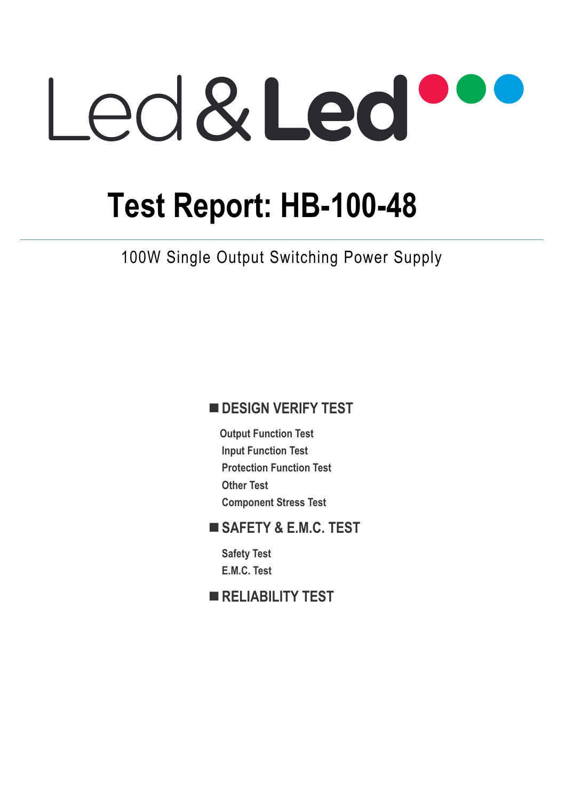# Led&Led

# **Test Report: HB-100-48**

100W Single Output Switching Power Supply

## $\blacksquare$  **DESIGN VERIFY TEST**

**Output Function Test Input Function Test Protection Function Test Other Test Component Stress Test** 

### **SAFETY & E.M.C. TEST**

**Safety Test E.M.C. Test** 

**RELIABILITY TEST**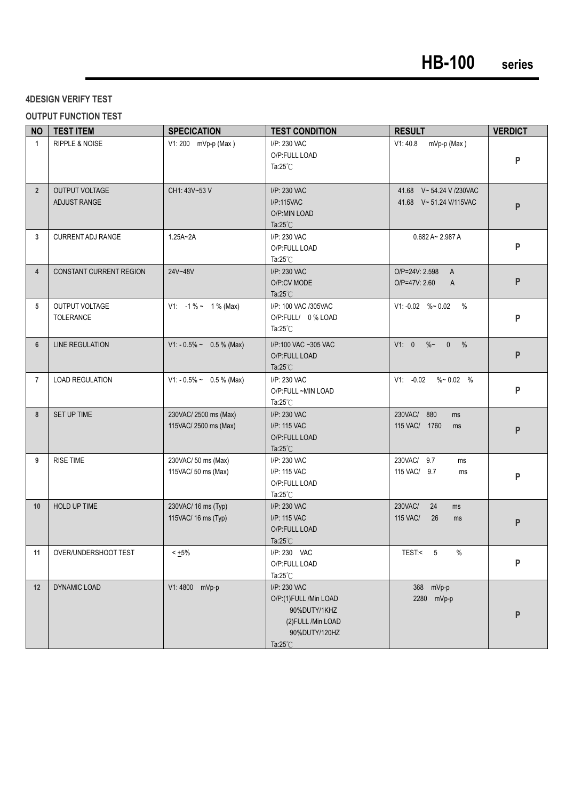#### **4DESIGN VERIFY TEST**

#### **OUTPUT FUNCTION TEST**

| <b>NO</b>      | <b>TEST ITEM</b>                   | <b>SPECICATION</b>                            | <b>TEST CONDITION</b>                                                                                               | <b>RESULT</b>                                        | <b>VERDICT</b> |
|----------------|------------------------------------|-----------------------------------------------|---------------------------------------------------------------------------------------------------------------------|------------------------------------------------------|----------------|
| $\mathbf{1}$   | <b>RIPPLE &amp; NOISE</b>          | V1: 200 mVp-p (Max)                           | I/P: 230 VAC<br>O/P:FULL LOAD<br>Ta: $25^{\circ}$ C                                                                 | V1:40.8<br>mVp-p (Max)                               | ${\sf P}$      |
| $\overline{2}$ | OUTPUT VOLTAGE<br>ADJUST RANGE     | CH1: 43V~53 V                                 | I/P: 230 VAC<br>I/P:115VAC<br>O/P:MIN LOAD<br>Ta: $25^{\circ}$ C                                                    | 41.68 V~54.24 V /230VAC<br>41.68 V~51.24 V/115VAC    | ${\sf P}$      |
| 3              | <b>CURRENT ADJ RANGE</b>           | $1.25A - 2A$                                  | I/P: 230 VAC<br>O/P:FULL LOAD<br>Ta: $25^{\circ}$ C                                                                 | $0.682$ A~ 2.987 A                                   | P              |
| $\overline{4}$ | <b>CONSTANT CURRENT REGION</b>     | 24V~48V                                       | I/P: 230 VAC<br>O/P:CV MODE<br>Ta: $25^{\circ}$ C                                                                   | O/P=24V: 2.598<br>$\mathsf{A}$<br>O/P=47V: 2.60<br>A | ${\sf P}$      |
| 5              | <b>OUTPUT VOLTAGE</b><br>TOLERANCE | V1: $-1\% \sim 1\%$ (Max)                     | I/P: 100 VAC /305VAC<br>O/P:FULL/ 0 % LOAD<br>Ta: $25^{\circ}$ C                                                    | $V1: -0.02$ %~ 0.02 %                                | P              |
| $6\phantom{1}$ | <b>LINE REGULATION</b>             | V1: - 0.5% ~ 0.5 % (Max)                      | I/P:100 VAC ~305 VAC<br>O/P:FULL LOAD<br>Ta: $25^{\circ}$ C                                                         | $V1: 0$ % 0 %                                        | ${\sf P}$      |
| $\overline{7}$ | <b>LOAD REGULATION</b>             | $V1: -0.5\% \sim 0.5\%$ (Max)                 | I/P: 230 VAC<br>O/P:FULL ~MIN LOAD<br>Ta: $25^{\circ}$ C                                                            | $V1: -0.02$<br>$\%$ ~ 0.02 %                         | P              |
| 8              | SET UP TIME                        | 230VAC/2500 ms (Max)<br>115VAC/ 2500 ms (Max) | I/P: 230 VAC<br>I/P: 115 VAC<br>O/P:FULL LOAD<br>Ta: $25^{\circ}$ C                                                 | 230VAC/ 880<br>ms<br>115 VAC/ 1760<br>ms             | ${\sf P}$      |
| 9              | <b>RISE TIME</b>                   | 230VAC/ 50 ms (Max)<br>115VAC/ 50 ms (Max)    | I/P: 230 VAC<br>I/P: 115 VAC<br>O/P:FULL LOAD<br>Ta: $25^{\circ}$ C                                                 | 230VAC/ 9.7<br>ms<br>115 VAC/ 9.7<br>ms              | P              |
| 10             | <b>HOLD UP TIME</b>                | 230VAC/ 16 ms (Typ)<br>115VAC/ 16 ms (Typ)    | I/P: 230 VAC<br>I/P: 115 VAC<br>O/P:FULL LOAD<br>Ta: $25^{\circ}$ C                                                 | 230VAC/<br>24<br>ms<br>115 VAC/<br>26<br>ms          | ${\sf P}$      |
| 11             | OVER/UNDERSHOOT TEST               | $< +5\%$                                      | I/P: 230 VAC<br>O/P:FULL LOAD<br>Ta: $25^{\circ}$ C                                                                 | TEST < 5<br>%                                        | P              |
| 12             | DYNAMIC LOAD                       | V1:4800 mVp-p                                 | I/P: 230 VAC<br>O/P:(1)FULL /Min LOAD<br>90%DUTY/1KHZ<br>(2) FULL / Min LOAD<br>90%DUTY/120HZ<br>Ta: $25^{\circ}$ C | 368 mVp-p<br>2280 mVp-p                              | P              |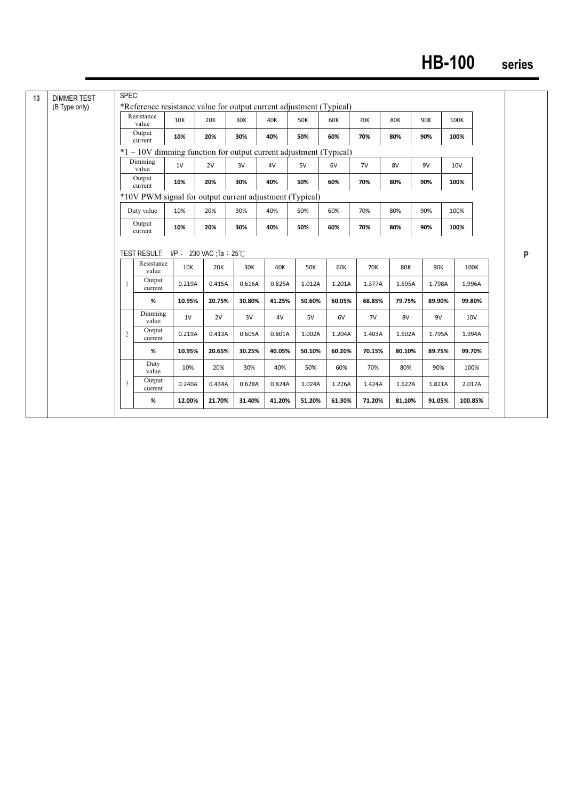# **HB-100 series**

| (B Type only) |                | *Reference resistance value for output current adjustment (Typical)<br>Resistance |               |               |               |               |                      |               |                      |               |               |                 |                |
|---------------|----------------|-----------------------------------------------------------------------------------|---------------|---------------|---------------|---------------|----------------------|---------------|----------------------|---------------|---------------|-----------------|----------------|
|               |                | value                                                                             | <b>10K</b>    | 20K           | 30K           | 40K           | <b>50K</b>           | 60K           | 70K                  | <b>80K</b>    | 90K           | 100K            |                |
|               |                | Output<br>current                                                                 | 10%           | 20%           | 30%           | 40%           | 50%                  | 60%           | 70%                  | 80%           | 90%           | 100%            |                |
|               |                | $*1 \sim 10V$ dimming function for output current adjustment (Typical)            |               |               |               |               |                      |               |                      |               |               |                 |                |
|               |                | Dimming<br>value                                                                  | 1V            | 2V            | 3V            | 4V            | 5V                   | 6V            | 7V                   | 8V            | 9V            | 10 <sub>V</sub> |                |
|               |                | Output<br>current                                                                 | 10%           | 20%           | 30%           | 40%           | 50%                  | 60%           | 70%                  | 80%           | 90%           | 100%            |                |
|               |                | *10V PWM signal for output current adjustment (Typical)                           |               |               |               |               |                      |               |                      |               |               |                 |                |
|               |                | Duty value                                                                        | 10%           | 20%           | 30%           | 40%           | 50%                  | 60%           | 70%                  | 80%           | 90%           | 100%            |                |
|               |                | Output<br>current                                                                 | 10%           | 20%           | 30%           | 40%           | 50%                  | 60%           | 70%                  | 80%           | 90%           | 100%            |                |
|               |                |                                                                                   |               |               |               |               |                      |               |                      |               |               |                 |                |
|               | 1              | TEST RESULT: $I/P$ : 230 VAC ; Ta : 25 °C<br>Resistance<br>value<br>Output        | 10K<br>0.219A | 20K<br>0.415A | 30K<br>0.616A | 40K<br>0.825A | <b>50K</b><br>1.012A | 60K<br>1.201A | <b>70K</b><br>1.377A | 80K<br>1.595A | 90K<br>1.798A |                 | 100K<br>1.996A |
|               |                | current<br>%                                                                      | 10.95%        | 20.75%        | 30.80%        | 41.25%        | 50.60%               | 60.05%        | 68.85%               | 79.75%        | 89.90%        |                 | 99.80%         |
|               |                | Dimming<br>value                                                                  | 1V            | 2V            | 3V            | 4V            | 5V                   | 6V            | 7V                   | 8V            | 9V            |                 | 10V            |
|               | $\overline{2}$ | Output<br>current                                                                 | 0.219A        | 0.413A        | 0.605A        | 0.801A        | 1.002A               | 1.204A        | 1.403A               | 1.602A        | 1.795A        |                 | 1.994A         |
|               |                | %                                                                                 | 10.95%        | 20.65%        | 30.25%        | 40.05%        | 50.10%               | 60.20%        | 70.15%               | 80.10%        | 89.75%        |                 | 99.70%         |
|               |                | Duty<br>value                                                                     | 10%           | 20%           | 30%           | 40%           | 50%                  | 60%           | 70%                  | 80%           | 90%           |                 | 100%           |
|               | 3              | Output<br>current                                                                 | 0.240A        | 0.434A        | 0.628A        | 0.824A        | 1.024A               | 1.226A        | 1.424A               | 1.622A        | 1.821A        |                 | 2.017A         |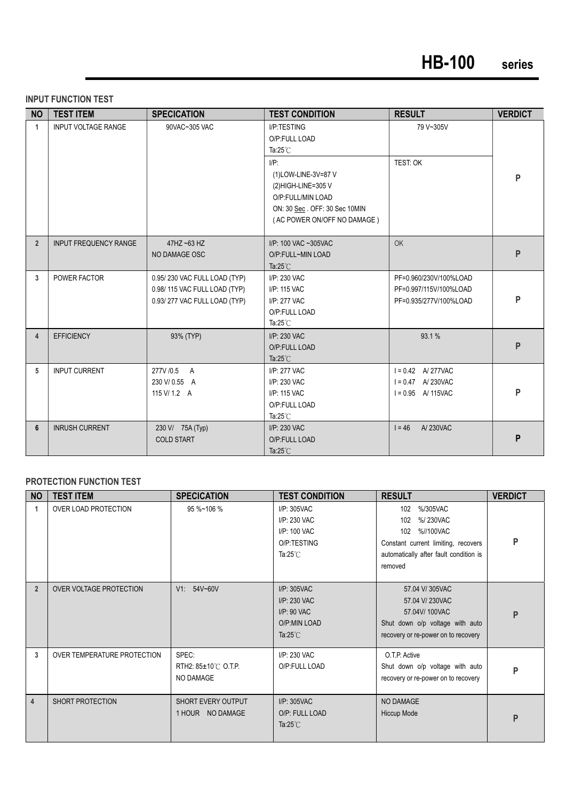#### **INPUT FUNCTION TEST**

| <b>NO</b>               | <b>TEST ITEM</b>             | <b>SPECICATION</b>                                                                           | <b>TEST CONDITION</b>                                                                                                            | <b>RESULT</b>                                                              | <b>VERDICT</b> |
|-------------------------|------------------------------|----------------------------------------------------------------------------------------------|----------------------------------------------------------------------------------------------------------------------------------|----------------------------------------------------------------------------|----------------|
| $\mathbf{1}$            | <b>INPUT VOLTAGE RANGE</b>   | 90VAC~305 VAC                                                                                | I/P:TESTING<br>O/P:FULL LOAD<br>Ta: $25^{\circ}$ C<br>$I/P$ :                                                                    | 79 V~305V<br>TEST: OK                                                      |                |
|                         |                              |                                                                                              | (1) LOW-LINE-3V=87 V<br>(2) HIGH-LINE=305 V<br>O/P:FULL/MIN LOAD<br>ON: 30 Sec. OFF: 30 Sec 10MIN<br>(AC POWER ON/OFF NO DAMAGE) |                                                                            | P              |
| $\overline{2}$          | <b>INPUT FREQUENCY RANGE</b> | 47HZ ~63 HZ<br>NO DAMAGE OSC                                                                 | I/P: 100 VAC ~305VAC<br>O/P:FULL~MIN LOAD<br>Ta: $25^{\circ}$ C                                                                  | <b>OK</b>                                                                  | P              |
| $\overline{3}$          | POWER FACTOR                 | 0.95/230 VAC FULL LOAD (TYP)<br>0.98/115 VAC FULL LOAD (TYP)<br>0.93/277 VAC FULL LOAD (TYP) | I/P: 230 VAC<br>I/P: 115 VAC<br>I/P: 277 VAC<br>O/P:FULL LOAD<br>Ta: $25^{\circ}$ C                                              | PF=0.960/230V/100%LOAD<br>PF=0.997/115V/100%LOAD<br>PF=0.935/277V/100%LOAD | P              |
| $\overline{\mathbf{4}}$ | <b>EFFICIENCY</b>            | 93% (TYP)                                                                                    | I/P: 230 VAC<br>O/P:FULL LOAD<br>Ta: $25^{\circ}$ C                                                                              | 93.1 %                                                                     | P              |
| 5                       | <b>INPUT CURRENT</b>         | 277V / 0.5 A<br>230 V/0.55 A<br>115 V/ 1.2 A                                                 | I/P: 277 VAC<br>I/P: 230 VAC<br>I/P: 115 VAC<br>O/P:FULL LOAD<br>Ta: $25^{\circ}$ C                                              | $I = 0.42$ A/277VAC<br>$I = 0.47$ A/230VAC<br>$I = 0.95$ A/115VAC          | P              |
| 6                       | <b>INRUSH CURRENT</b>        | 230 V/ 75A (Typ)<br><b>COLD START</b>                                                        | I/P: 230 VAC<br>O/P:FULL LOAD<br>Ta: $25^{\circ}$ C                                                                              | $1 = 46$<br>A/230VAC                                                       | P              |

#### **PROTECTION FUNCTION TEST**

| <b>NO</b>      | <b>TEST ITEM</b>               | <b>SPECICATION</b>                        | <b>TEST CONDITION</b>                                                                  | <b>RESULT</b>                                                                                                                                   | <b>VERDICT</b> |
|----------------|--------------------------------|-------------------------------------------|----------------------------------------------------------------------------------------|-------------------------------------------------------------------------------------------------------------------------------------------------|----------------|
| 1              | OVER LOAD PROTECTION           | 95 %~106 %                                | I/P: 305VAC<br>I/P: 230 VAC<br>I/P: 100 VAC<br>O/P:TESTING<br>Ta: $25^{\circ}$ C       | 102<br>%/305VAC<br>%/230VAC<br>102<br>102 %//100VAC<br>Constant current limiting, recovers<br>automatically after fault condition is<br>removed | P              |
| $\overline{2}$ | <b>OVER VOLTAGE PROTECTION</b> | V1: 54V~60V                               | $I/P$ : 305VAC<br>I/P: 230 VAC<br>$I/P$ : 90 VAC<br>O/P:MIN LOAD<br>Ta: $25^{\circ}$ C | 57.04 V/305VAC<br>57.04 V/ 230VAC<br>57.04V/100VAC<br>Shut down o/p voltage with auto<br>recovery or re-power on to recovery                    | P              |
| 3              | OVER TEMPERATURE PROTECTION    | SPEC:<br>RTH2: 85±10℃ O.T.P.<br>NO DAMAGE | $I/P$ : 230 VAC<br>O/P:FULL LOAD                                                       | O.T.P. Active<br>Shut down o/p voltage with auto<br>recovery or re-power on to recovery                                                         | P              |
| $\overline{4}$ | <b>SHORT PROTECTION</b>        | SHORT EVERY OUTPUT<br>1 HOUR NO DAMAGE    | $I/P$ : 305VAC<br>O/P: FULL LOAD<br>Ta: $25^{\circ}$ C                                 | NO DAMAGE<br><b>Hiccup Mode</b>                                                                                                                 | P              |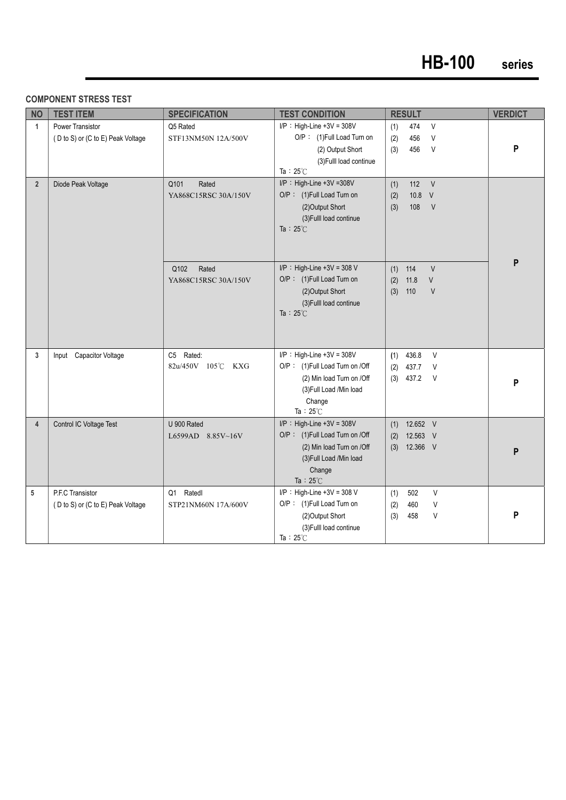#### **COMPONENT STRESS TEST**

| <b>NO</b>      | <b>TEST ITEM</b>                                      | <b>SPECIFICATION</b>                                   | <b>TEST CONDITION</b>                                                                                                                                        | <b>RESULT</b>                                                                | <b>VERDICT</b> |
|----------------|-------------------------------------------------------|--------------------------------------------------------|--------------------------------------------------------------------------------------------------------------------------------------------------------------|------------------------------------------------------------------------------|----------------|
| $\mathbf{1}$   | Power Transistor<br>(D to S) or (C to E) Peak Voltage | Q5 Rated<br>STF13NM50N 12A/500V                        | $I/P$ : High-Line +3V = 308V<br>O/P: (1)Full Load Turn on<br>(2) Output Short<br>(3) Fulll load continue<br>Ta: $25^{\circ}$ C                               | 474<br>$\vee$<br>(1)<br>456<br>$\vee$<br>(2)<br>(3)<br>456<br>$\vee$         | P              |
| 2 <sup>2</sup> | Diode Peak Voltage                                    | Q101<br>Rated<br>YA868C15RSC 30A/150V<br>Q102<br>Rated | I/P: High-Line +3V =308V<br>O/P: (1) Full Load Turn on<br>(2) Output Short<br>(3) Fulll load continue<br>Ta: $25^{\circ}$ C<br>$I/P$ : High-Line +3V = 308 V | $112 \quad V$<br>(1)<br>(2)<br>$10.8$ V<br>108<br>V<br>(3)<br>V<br>$(1)$ 114 | P              |
|                |                                                       | YA868C15RSC 30A/150V                                   | O/P: (1) Full Load Turn on<br>(2) Output Short<br>(3) Fulll load continue<br>Ta: $25^{\circ}$ C                                                              | 11.8<br>$\vee$<br>(2)<br>110<br>$\vee$<br>(3)                                |                |
| 3              | Input Capacitor Voltage                               | C5 Rated:<br>82u/450V 105℃ KXG                         | $I/P$ : High-Line +3V = 308V<br>O/P: (1)Full Load Turn on /Off<br>(2) Min load Turn on /Off<br>(3) Full Load / Min load<br>Change<br>Ta: $25^{\circ}$ C      | 436.8<br>V<br>(1)<br>(2)<br>437.7<br>V<br>437.2<br>$\vee$<br>(3)             | P              |
| $\overline{4}$ | Control IC Voltage Test                               | U 900 Rated<br>L6599AD 8.85V~16V                       | $I/P$ : High-Line +3V = 308V<br>O/P: (1)Full Load Turn on /Off<br>(2) Min load Turn on /Off<br>(3) Full Load / Min load<br>Change<br>Ta: $25^{\circ}$ C      | 12.652 V<br>(1)<br>12.563 V<br>(2)<br>(3)<br>12.366 V                        | P              |
| 5              | P.F.C Transistor<br>(D to S) or (C to E) Peak Voltage | Ratedl<br>Q1<br>STP21NM60N 17A/600V                    | $I/P$ : High-Line +3V = 308 V<br>O/P: (1) Full Load Turn on<br>(2) Output Short<br>(3) Fulll load continue<br>Ta: $25^{\circ}$ C                             | V<br>(1)<br>502<br>V<br>(2)<br>460<br>V<br>(3)<br>458                        | P              |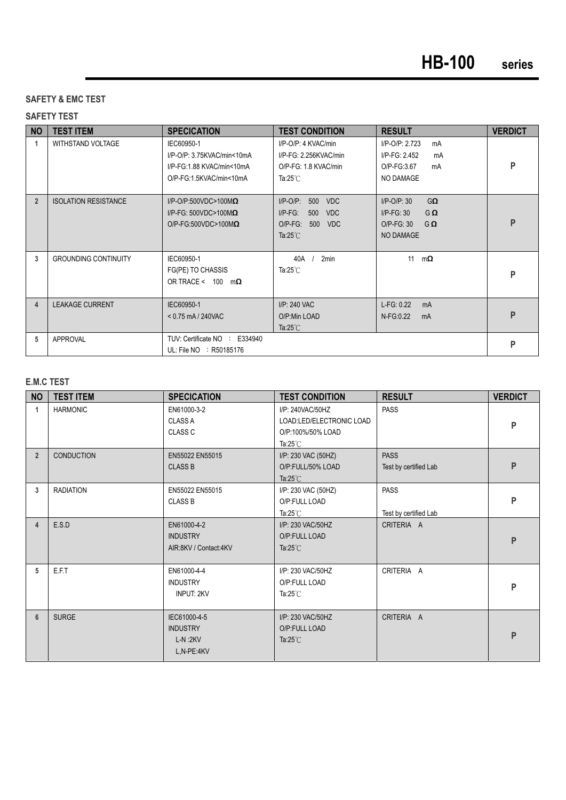#### **SAFETY & EMC TEST**

#### **SAFETY TEST**

| <b>NO</b>      | <b>TEST ITEM</b>            | <b>SPECICATION</b>                                                                               | <b>TEST CONDITION</b>                                                                                                        | <b>RESULT</b>                                                                                     | <b>VERDICT</b> |
|----------------|-----------------------------|--------------------------------------------------------------------------------------------------|------------------------------------------------------------------------------------------------------------------------------|---------------------------------------------------------------------------------------------------|----------------|
| 1              | <b>WITHSTAND VOLTAGE</b>    | IEC60950-1<br>I/P-O/P: 3.75KVAC/min<10mA<br>I/P-FG:1.88 KVAC/min<10mA<br>O/P-FG:1.5KVAC/min<10mA | I/P-O/P: 4 KVAC/min<br>I/P-FG: 2.256KVAC/min<br>O/P-FG: 1.8 KVAC/min<br>Ta: $25^{\circ}$ C                                   | I/P-O/P: 2.723<br>mA<br>$I/P-FG: 2.452$<br>mA<br>O/P-FG:3.67<br>mA<br>NO DAMAGE                   | P              |
| $\overline{2}$ | <b>ISOLATION RESISTANCE</b> | $I/P$ -O/P:500VDC>100M $\Omega$<br>I/P-FG: 500VDC>100M $\Omega$<br>O/P-FG:500VDC>100M $\Omega$   | $I/P-O/P$ :<br>500<br><b>VDC</b><br>$I/P-FG$ :<br>500<br><b>VDC</b><br>$O/P-FG$ :<br>500<br><b>VDC</b><br>Ta: $25^{\circ}$ C | $G\Omega$<br>$I/P$ -O/P: 30<br>$I/P-FG: 30$<br>$G \Omega$<br>O/P-FG: 30<br>$G\Omega$<br>NO DAMAGE | P              |
| 3              | <b>GROUNDING CONTINUITY</b> | IEC60950-1<br>FG(PE) TO CHASSIS<br>OR TRACE < 100<br>$m\Omega$                                   | 2min<br>40A<br>Ta: $25^{\circ}$ C                                                                                            | 11<br>$m\Omega$                                                                                   | P              |
| 4              | <b>LEAKAGE CURRENT</b>      | IEC60950-1<br>$< 0.75$ mA / 240VAC                                                               | I/P: 240 VAC<br>O/P:Min LOAD<br>Ta: $25^{\circ}$ C                                                                           | L-FG: 0.22<br>mA<br>N-FG:0.22<br>mA                                                               | P              |
| 5              | <b>APPROVAL</b>             | TUV: Certificate NO : E334940<br>UL: File NO : R50185176                                         |                                                                                                                              |                                                                                                   | P              |

#### **E.M.C TEST**

| <b>NO</b>      | <b>TEST ITEM</b>  | <b>SPECICATION</b>                                             | <b>TEST CONDITION</b>                                                                   | <b>RESULT</b>                        | <b>VERDICT</b> |
|----------------|-------------------|----------------------------------------------------------------|-----------------------------------------------------------------------------------------|--------------------------------------|----------------|
| 1              | <b>HARMONIC</b>   | EN61000-3-2<br><b>CLASS A</b><br>CLASS C                       | I/P: 240VAC/50HZ<br>LOAD:LED/ELECTRONIC LOAD<br>O/P:100%/50% LOAD<br>Ta: $25^{\circ}$ C | <b>PASS</b>                          | P              |
| $\overline{2}$ | <b>CONDUCTION</b> | EN55022 EN55015<br><b>CLASS B</b>                              | I/P: 230 VAC (50HZ)<br>O/P:FULL/50% LOAD<br>Ta: $25^{\circ}$ C                          | <b>PASS</b><br>Test by certified Lab | P              |
| 3              | <b>RADIATION</b>  | EN55022 EN55015<br><b>CLASS B</b>                              | I/P: 230 VAC (50HZ)<br>O/P:FULL LOAD<br>Ta: $25^{\circ}$ C                              | <b>PASS</b><br>Test by certified Lab | P              |
| 4              | E.S.D             | EN61000-4-2<br><b>INDUSTRY</b><br>AIR:8KV / Contact:4KV        | I/P: 230 VAC/50HZ<br>O/P:FULL LOAD<br>Ta: $25^{\circ}$ C                                | CRITERIA A                           | P              |
| 5              | E.F.T             | EN61000-4-4<br><b>INDUSTRY</b><br><b>INPUT: 2KV</b>            | I/P: 230 VAC/50HZ<br>O/P:FULL LOAD<br>Ta: $25^{\circ}$ C                                | CRITERIA A                           | P              |
| 6              | <b>SURGE</b>      | IEC61000-4-5<br><b>INDUSTRY</b><br>$L-N$ :2 $KV$<br>L,N-PE:4KV | I/P: 230 VAC/50HZ<br>O/P:FULL LOAD<br>Ta: $25^{\circ}$ C                                | CRITERIA A                           | P              |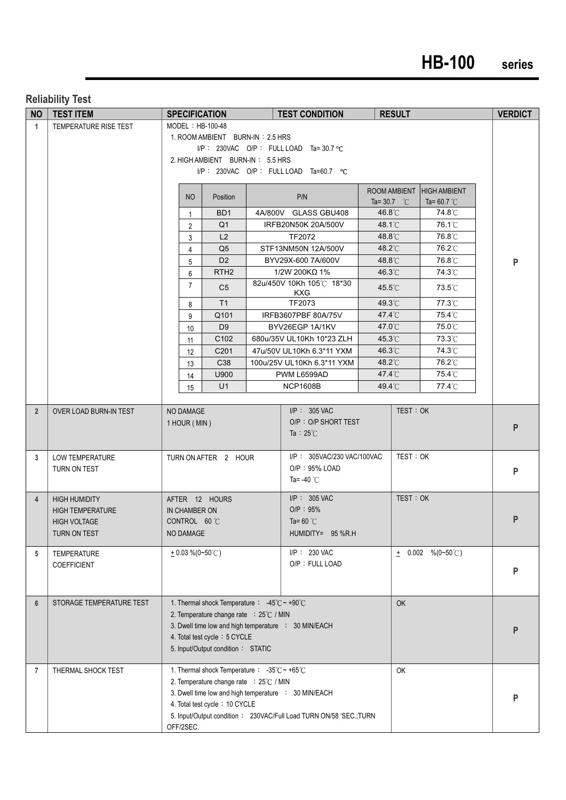# **HB-100 series**

#### **Reliability Test**

| <b>NO</b>      | <b>TEST ITEM</b>         |                                                                           | <b>SPECIFICATION</b>                                              |  | <b>TEST CONDITION</b>                                              |                      | <b>RESULT</b> |                           |  | <b>VERDICT</b> |
|----------------|--------------------------|---------------------------------------------------------------------------|-------------------------------------------------------------------|--|--------------------------------------------------------------------|----------------------|---------------|---------------------------|--|----------------|
| $\mathbf{1}$   | TEMPERATURE RISE TEST    | MODEL: HB-100-48                                                          |                                                                   |  |                                                                    |                      |               |                           |  |                |
|                |                          | 1. ROOM AMBIENT BURN-IN: 2.5 HRS                                          |                                                                   |  |                                                                    |                      |               |                           |  |                |
|                |                          | I/P: 230VAC O/P: FULL LOAD Ta=30.7 °C                                     |                                                                   |  |                                                                    |                      |               |                           |  |                |
|                |                          | 2. HIGH AMBIENT BURN-IN: 5.5 HRS<br>I/P: 230VAC O/P: FULL LOAD Ta=60.7 °C |                                                                   |  |                                                                    |                      |               |                           |  |                |
|                |                          |                                                                           |                                                                   |  |                                                                    |                      |               |                           |  |                |
|                |                          |                                                                           |                                                                   |  |                                                                    |                      |               | ROOM AMBIENT HIGH AMBIENT |  |                |
|                |                          | <b>NO</b>                                                                 | Position                                                          |  | P/N                                                                | Ta= 30.7 $\degree$ C |               | Ta= 60.7 $^{\circ}$ C     |  |                |
|                |                          | $\mathbf{1}$                                                              | BD <sub>1</sub>                                                   |  | 4A/800V GLASS GBU408                                               | 46.8°C               |               | 74.8°C                    |  |                |
|                |                          | $\overline{2}$                                                            | Q <sub>1</sub>                                                    |  | IRFB20N50K 20A/500V                                                | 48.1°C               |               | 76.1°C                    |  |                |
|                |                          | 3                                                                         | L2                                                                |  | TF2072                                                             | 48.8°C               |               | 76.8°C                    |  |                |
|                |                          | $\overline{4}$                                                            | Q <sub>5</sub>                                                    |  | STF13NM50N 12A/500V                                                | 48.2°C               |               | 76.2°C                    |  |                |
|                |                          | 5                                                                         | D <sub>2</sub><br>RTH <sub>2</sub>                                |  | BYV29X-600 7A/600V<br>$1/2W$ 200KΩ 1%                              | 48.8°C<br>46.3°C     |               | 76.8°C<br>74.3°C          |  | P              |
|                |                          | 6                                                                         |                                                                   |  | 82u/450V 10Kh 105°C 18*30                                          |                      |               |                           |  |                |
|                |                          | $\overline{7}$                                                            | C <sub>5</sub>                                                    |  | KXG                                                                | $45.5^{\circ}$ C     |               | 73.5°C                    |  |                |
|                |                          | 8                                                                         | T1                                                                |  | TF2073                                                             | 49.3°C               |               | 77.3°C                    |  |                |
|                |                          | 9                                                                         | Q101                                                              |  | IRFB3607PBF 80A/75V                                                | 47.4°C               |               | 75.4℃                     |  |                |
|                |                          | 10                                                                        | D <sub>9</sub>                                                    |  | BYV26EGP 1A/1KV                                                    | 47.0°C               |               | 75.0°C                    |  |                |
|                |                          | 11                                                                        | C102                                                              |  | 680u/35V UL10Kh 10*23 ZLH                                          | 45.3°C               |               | 73.3°C                    |  |                |
|                |                          | $12 \overline{ }$                                                         | C <sub>201</sub>                                                  |  | 47u/50V UL10Kh 6.3*11 YXM                                          | 46.3°C               |               | 74.3°C                    |  |                |
|                |                          | 13                                                                        | C38<br>U900                                                       |  | 100u/25V UL10Kh 6.3*11 YXM<br>PWM L6599AD                          | 48.2°C<br>47.4°C     |               | 76.2°C<br>75.4°C          |  |                |
|                |                          | 14                                                                        | U1                                                                |  | <b>NCP1608B</b>                                                    | 49.4°C               |               | 77.4°C                    |  |                |
|                |                          | 15                                                                        |                                                                   |  |                                                                    |                      |               |                           |  |                |
| $2^{\circ}$    | OVER LOAD BURN-IN TEST   | NO DAMAGE                                                                 |                                                                   |  | $I/P$ : 305 VAC                                                    |                      | TEST: OK      |                           |  |                |
|                |                          | 1 HOUR (MIN)                                                              |                                                                   |  | O/P: O/P SHORT TEST                                                |                      |               |                           |  |                |
|                |                          |                                                                           |                                                                   |  | Ta : $25^{\circ}$ C                                                |                      |               |                           |  | P              |
|                |                          |                                                                           |                                                                   |  |                                                                    |                      |               |                           |  |                |
| 3              | LOW TEMPERATURE          |                                                                           | TURN ON AFTER 2 HOUR                                              |  | I/P: 305VAC/230 VAC/100VAC                                         |                      | TEST: OK      |                           |  |                |
|                | TURN ON TEST             |                                                                           |                                                                   |  | O/P: 95% LOAD                                                      |                      |               |                           |  | P              |
|                |                          |                                                                           |                                                                   |  | Ta= -40 $°C$                                                       |                      |               |                           |  |                |
| $\overline{4}$ | <b>HIGH HUMIDITY</b>     |                                                                           | AFTER 12 HOURS                                                    |  | $I/P$ : 305 VAC                                                    |                      | TEST: OK      |                           |  |                |
|                | <b>HIGH TEMPERATURE</b>  | IN CHAMBER ON                                                             |                                                                   |  | O/P: 95%                                                           |                      |               |                           |  |                |
|                | <b>HIGH VOLTAGE</b>      | CONTROL 60 °C                                                             |                                                                   |  | Ta= 60 $^{\circ}$ C                                                |                      |               |                           |  | P              |
|                | TURN ON TEST             | NO DAMAGE                                                                 |                                                                   |  | HUMIDITY= 95 %R.H                                                  |                      |               |                           |  |                |
| 5              | TEMPERATURE              | $+0.03\%$ (0~50°C)                                                        |                                                                   |  | I/P: 230 VAC                                                       |                      |               | $\pm$ 0.002 %(0~50°C)     |  |                |
|                | COEFFICIENT              |                                                                           |                                                                   |  | O/P: FULL LOAD                                                     |                      |               |                           |  |                |
|                |                          |                                                                           |                                                                   |  |                                                                    |                      |               |                           |  | P              |
|                |                          |                                                                           |                                                                   |  |                                                                    |                      |               |                           |  |                |
| $6\phantom{1}$ | STORAGE TEMPERATURE TEST |                                                                           | 1. Thermal shock Temperature : $-45^{\circ}$ C ~ +90 $^{\circ}$ C |  |                                                                    |                      | OK            |                           |  |                |
|                |                          |                                                                           | 2. Temperature change rate : 25°C / MIN                           |  |                                                                    |                      |               |                           |  |                |
|                |                          |                                                                           |                                                                   |  | 3. Dwell time low and high temperature : 30 MIN/EACH               |                      |               |                           |  | P              |
|                |                          |                                                                           | 4. Total test cycle: 5 CYCLE                                      |  |                                                                    |                      |               |                           |  |                |
|                |                          |                                                                           | 5. Input/Output condition: STATIC                                 |  |                                                                    |                      |               |                           |  |                |
| $\overline{7}$ | THERMAL SHOCK TEST       |                                                                           | 1. Thermal shock Temperature : $-35^{\circ}$ C ~ +65 $^{\circ}$ C |  |                                                                    |                      | OK            |                           |  |                |
|                |                          |                                                                           | 2. Temperature change rate : 25°C / MIN                           |  |                                                                    |                      |               |                           |  |                |
|                |                          |                                                                           |                                                                   |  | 3. Dwell time low and high temperature : 30 MIN/EACH               |                      |               |                           |  | P              |
|                |                          |                                                                           | 4. Total test cycle: 10 CYCLE                                     |  |                                                                    |                      |               |                           |  |                |
|                |                          |                                                                           |                                                                   |  | 5. Input/Output condition: 230VAC/Full Load TURN ON/58 'SEC.; TURN |                      |               |                           |  |                |
|                |                          | OFF/2SEC.                                                                 |                                                                   |  |                                                                    |                      |               |                           |  |                |